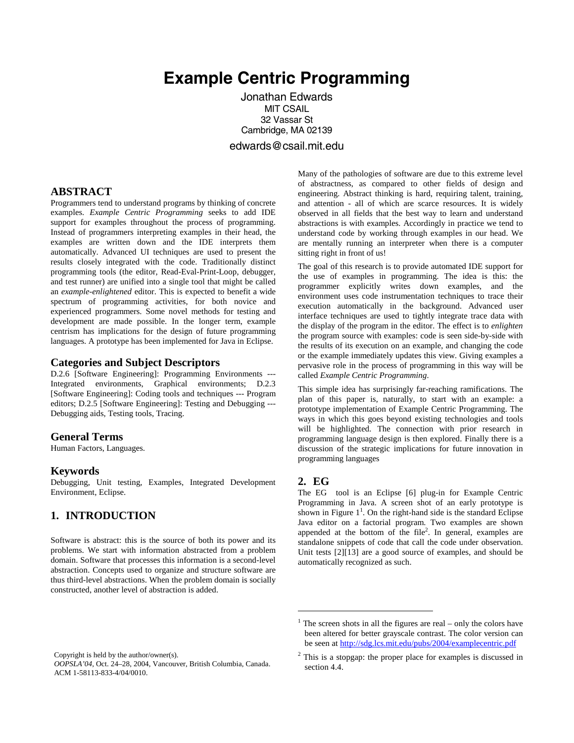# **Example Centric Programming**

Jonathan Edwards MIT CSAIL 32 Vassar St Cambridge, MA 02139 edwards@csail.mit.edu

#### **ABSTRACT**

Programmers tend to understand programs by thinking of concrete examples. *Example Centric Programming* seeks to add IDE support for examples throughout the process of programming. Instead of programmers interpreting examples in their head, the examples are written down and the IDE interprets them automatically. Advanced UI techniques are used to present the results closely integrated with the code. Traditionally distinct programming tools (the editor, Read-Eval-Print-Loop, debugger, and test runner) are unified into a single tool that might be called an *example-enlightened* editor. This is expected to benefit a wide spectrum of programming activities, for both novice and experienced programmers. Some novel methods for testing and development are made possible. In the longer term, example centrism has implications for the design of future programming languages. A prototype has been implemented for Java in Eclipse.

#### **Categories and Subject Descriptors**

D.2.6 [Software Engineering]: Programming Environments --- Integrated environments, Graphical environments; D.2.3 [Software Engineering]: Coding tools and techniques --- Program editors; D.2.5 [Software Engineering]: Testing and Debugging --- Debugging aids, Testing tools, Tracing.

#### **General Terms**

Human Factors, Languages.

#### **Keywords**

Debugging, Unit testing, Examples, Integrated Development Environment, Eclipse.

## **1. INTRODUCTION**

Software is abstract: this is the source of both its power and its problems. We start with information abstracted from a problem domain. Software that processes this information is a second-level abstraction. Concepts used to organize and structure software are thus third-level abstractions. When the problem domain is socially constructed, another level of abstraction is added.

Many of the pathologies of software are due to this extreme level of abstractness, as compared to other fields of design and engineering. Abstract thinking is hard, requiring talent, training, and attention - all of which are scarce resources. It is widely observed in all fields that the best way to learn and understand abstractions is with examples. Accordingly in practice we tend to understand code by working through examples in our head. We are mentally running an interpreter when there is a computer sitting right in front of us!

The goal of this research is to provide automated IDE support for the use of examples in programming. The idea is this: the programmer explicitly writes down examples, and the environment uses code instrumentation techniques to trace their execution automatically in the background. Advanced user interface techniques are used to tightly integrate trace data with the display of the program in the editor. The effect is to *enlighten* the program source with examples: code is seen side-by-side with the results of its execution on an example, and changing the code or the example immediately updates this view. Giving examples a pervasive role in the process of programming in this way will be called *Example Centric Programming*.

This simple idea has surprisingly far-reaching ramifications. The plan of this paper is, naturally, to start with an example: a prototype implementation of Example Centric Programming. The ways in which this goes beyond existing technologies and tools will be highlighted. The connection with prior research in programming language design is then explored. Finally there is a discussion of the strategic implications for future innovation in programming languages

#### **2. EG**

1

The EG tool is an Eclipse [\[6\]](#page-6-0) plug-in for Example Centric Programming in Java. A screen shot of an early prototype is shown in Figure  $1<sup>1</sup>$ [.](#page-0-0) On the right-hand side is the standard Eclipse Java editor on a factorial program. Two examples are shown appended at the bottom of the file<sup>[2](#page-0-1)</sup>. In general, examples are standalone snippets of code that call the code under observation. Unit tests [\[2\]](#page-6-1)[\[13\]](#page-6-2) are a good source of examples, and should be automatically recognized as such.

Copyright is held by the author/owner(s).

*OOPSLA'04,* Oct. 24–28, 2004, Vancouver, British Columbia, Canada. ACM 1-58113-833-4/04/0010.

<span id="page-0-0"></span> $1$ <sup>1</sup> The screen shots in all the figures are real – only the colors have been altered for better grayscale contrast. The color version can be seen at <http://sdg.lcs.mit.edu/pubs/2004/examplecentric.pdf>

<span id="page-0-1"></span> $2$  This is a stopgap: the proper place for examples is discussed in section 4.4.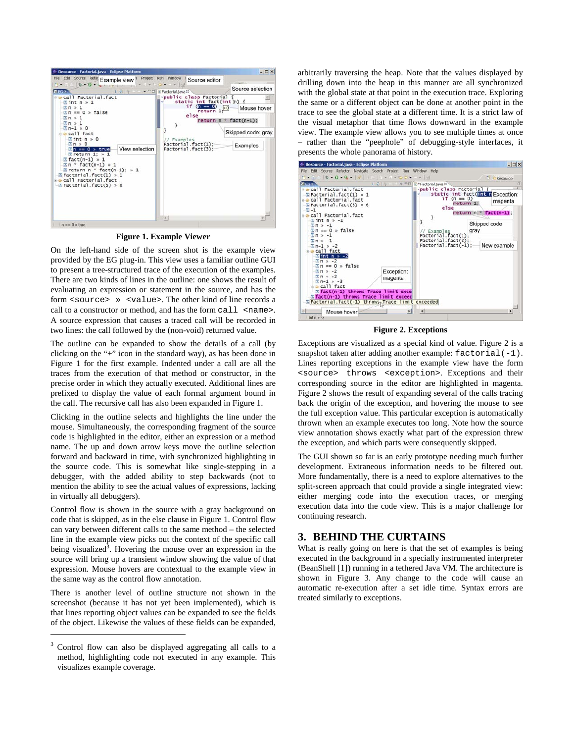<span id="page-1-0"></span>

**Figure 1. Example Viewer** 

On the left-hand side of the screen shot is the example view provided by the EG plug-in. This view uses a familiar outline GUI to present a tree-structured trace of the execution of the examples. There are two kinds of lines in the outline: one shows the result of evaluating an expression or statement in the source, and has the form <source> » <value>. The other kind of line records a call to a constructor or method, and has the form call <name>. A source expression that causes a traced call will be recorded in two lines: the call followed by the (non-void) returned value.

The outline can be expanded to show the details of a call (by clicking on the "+" icon in the standard way), as has been done in [Figure](#page-1-0) 1 for the first example. Indented under a call are all the traces from the execution of that method or constructor, in the precise order in which they actually executed. Additional lines are prefixed to display the value of each formal argument bound in the call. The recursive call has also been expanded in Figure 1.

Clicking in the outline selects and highlights the line under the mouse. Simultaneously, the corresponding fragment of the source code is highlighted in the editor, either an expression or a method name. The up and down arrow keys move the outline selection forward and backward in time, with synchronized highlighting in the source code. This is somewhat like single-stepping in a debugger, with the added ability to step backwards (not to mention the ability to see the actual values of expressions, lacking in virtually all debuggers).

Control flow is shown in the source with a gray background on code that is skipped, as in the else clause in [Figure 1.](#page-1-0) Control flow can vary between different calls to the same method – the selected line in the example view picks out the context of the specific call being visualized<sup>[3](#page-1-2)</sup>. Hovering the mouse over an expression in the source will bring up a transient window showing the value of that expression. Mouse hovers are contextual to the example view in the same way as the control flow annotation.

There is another level of outline structure not shown in the screenshot (because it has not yet been implemented), which is that lines reporting object values can be expanded to see the fields of the object. Likewise the values of these fields can be expanded,

 $\overline{a}$ 

arbitrarily traversing the heap. Note that the values displayed by drilling down into the heap in this manner are all synchronized with the global state at that point in the execution trace. Exploring the same or a different object can be done at another point in the trace to see the global state at a different time. It is a strict law of the visual metaphor that time flows downward in the example view. The example view allows you to see multiple times at once – rather than the "peephole" of debugging-style interfaces, it presents the whole panorama of history.

<span id="page-1-1"></span>

**Figure 2. Exceptions** 

Exceptions are visualized as a special kind of value. [Figure 2](#page-1-1) is a snapshot taken after adding another example:  $factorial(-1)$ . Lines reporting exceptions in the example view have the form <source> throws <exception>. Exceptions and their corresponding source in the editor are highlighted in magenta. Figure 2 shows the result of expanding several of the calls tracing back the origin of the exception, and hovering the mouse to see the full exception value. This particular exception is automatically thrown when an example executes too long. Note how the source view annotation shows exactly what part of the expression threw the exception, and which parts were consequently skipped.

The GUI shown so far is an early prototype needing much further development. Extraneous information needs to be filtered out. More fundamentally, there is a need to explore alternatives to the split-screen approach that could provide a single integrated view: either merging code into the execution traces, or merging execution data into the code view. This is a major challenge for continuing research.

# **3. BEHIND THE CURTAINS**

What is really going on here is that the set of examples is being executed in the background in a specially instrumented interpreter (BeanShell [\[1\]\)](#page-6-3) running in a tethered Java VM. The architecture is shown in [Figure 3.](#page-2-0) Any change to the code will cause an automatic re-execution after a set idle time. Syntax errors are treated similarly to exceptions.

<span id="page-1-2"></span><sup>3</sup> Control flow can also be displayed aggregating all calls to a method, highlighting code not executed in any example. This visualizes example coverage.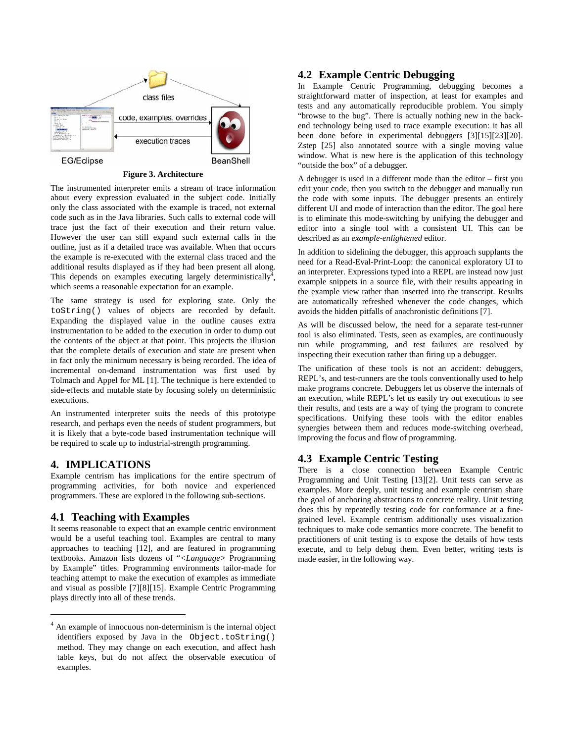<span id="page-2-0"></span>

#### **Figure 3. Architecture**

The instrumented interpreter emits a stream of trace information about every expression evaluated in the subject code. Initially only the class associated with the example is traced, not external code such as in the Java libraries. Such calls to external code will trace just the fact of their execution and their return value. However the user can still expand such external calls in the outline, just as if a detailed trace was available. When that occurs the example is re-executed with the external class traced and the additional results displayed as if they had been present all along. This depends on examples executing largely deterministically<sup>4</sup>, which seems a reasonable expectation for an example.

The same strategy is used for exploring state. Only the toString() values of objects are recorded by default. Expanding the displayed value in the outline causes extra instrumentation to be added to the execution in order to dump out the contents of the object at that point. This projects the illusion that the complete details of execution and state are present when in fact only the minimum necessary is being recorded. The idea of incremental on-demand instrumentation was first used by Tolmach and Appel for ML [\[1\].](#page-7-0) The technique is here extended to side-effects and mutable state by focusing solely on deterministic executions.

An instrumented interpreter suits the needs of this prototype research, and perhaps even the needs of student programmers, but it is likely that a byte-code based instrumentation technique will be required to scale up to industrial-strength programming.

## **4. IMPLICATIONS**

 $\overline{a}$ 

Example centrism has implications for the entire spectrum of programming activities, for both novice and experienced programmers. These are explored in the following sub-sections.

## **4.1 Teaching with Examples**

It seems reasonable to expect that an example centric environment would be a useful teaching tool. Examples are central to many approaches to teaching [\[12\],](#page-6-4) and are featured in programming textbooks. Amazon lists dozens of "*<Language>* Programming by Example" titles. Programming environments tailor-made for teaching attempt to make the execution of examples as immediate and visual as possible [\[7\]](#page-6-5)[\[8\]](#page-6-6)[\[15\].](#page-6-7) Example Centric Programming plays directly into all of these trends.

## **4.2 Example Centric Debugging**

In Example Centric Programming, debugging becomes a straightforward matter of inspection, at least for examples and tests and any automatically reproducible problem. You simply "browse to the bug". There is actually nothing new in the backend technology being used to trace example execution: it has all been done before in experimental debuggers [\[3\]](#page-6-8)[\[15\]](#page-6-7)[\[23\]](#page-7-1)[\[20\].](#page-7-2) Zstep [\[25\]](#page-7-3) also annotated source with a single moving value window. What is new here is the application of this technology "outside the box" of a debugger.

A debugger is used in a different mode than the editor – first you edit your code, then you switch to the debugger and manually run the code with some inputs. The debugger presents an entirely different UI and mode of interaction than the editor. The goal here is to eliminate this mode-switching by unifying the debugger and editor into a single tool with a consistent UI. This can be described as an *example-enlightened* editor.

In addition to sidelining the debugger, this approach supplants the need for a Read-Eval-Print-Loop: the canonical exploratory UI to an interpreter. Expressions typed into a REPL are instead now just example snippets in a source file, with their results appearing in the example view rather than inserted into the transcript. Results are automatically refreshed whenever the code changes, which avoids the hidden pitfalls of anachronistic definitions [\[7\].](#page-6-5)

As will be discussed below, the need for a separate test-runner tool is also eliminated. Tests, seen as examples, are continuously run while programming, and test failures are resolved by inspecting their execution rather than firing up a debugger.

The unification of these tools is not an accident: debuggers, REPL's, and test-runners are the tools conventionally used to help make programs concrete. Debuggers let us observe the internals of an execution, while REPL's let us easily try out executions to see their results, and tests are a way of tying the program to concrete specifications. Unifying these tools with the editor enables synergies between them and reduces mode-switching overhead, improving the focus and flow of programming.

## **4.3 Example Centric Testing**

There is a close connection between Example Centric Programming and Unit Testing [\[13\]\[](#page-6-2)[2\].](#page-6-1) Unit tests can serve as examples. More deeply, unit testing and example centrism share the goal of anchoring abstractions to concrete reality. Unit testing does this by repeatedly testing code for conformance at a finegrained level. Example centrism additionally uses visualization techniques to make code semantics more concrete. The benefit to practitioners of unit testing is to expose the details of how tests execute, and to help debug them. Even better, writing tests is made easier, in the following way.

<span id="page-2-1"></span><sup>4</sup> An example of innocuous non-determinism is the internal object identifiers exposed by Java in the Object.toString() method. They may change on each execution, and affect hash table keys, but do not affect the observable execution of examples.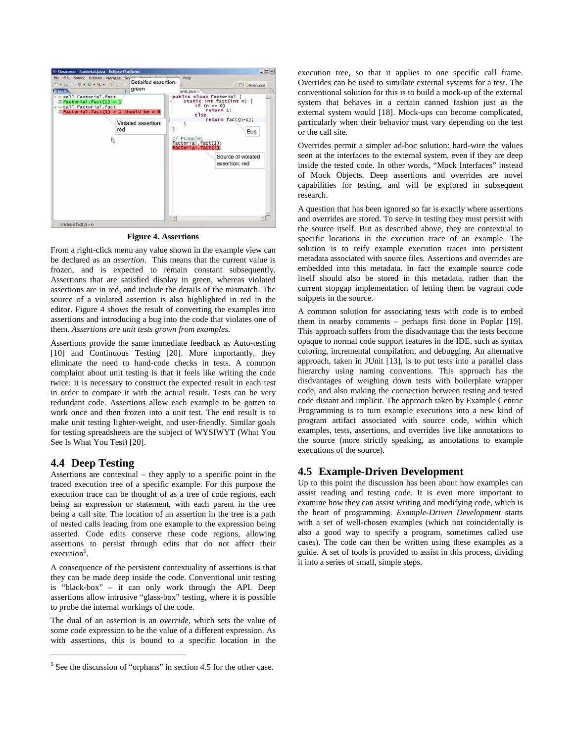<span id="page-3-0"></span>

**Figure 4. Assertions**

From a right-click menu any value shown in the example view can be declared as an *assertion*. This means that the current value is frozen, and is expected to remain constant subsequently. Assertions that are satisfied display in green, whereas violated assertions are in red, and include the details of the mismatch. The source of a violated assertion is also highlighted in red in the editor. [Figure](#page-3-0) 4 shows the result of converting the examples into assertions and introducing a bug into the code that violates one of them. *Assertions are unit tests grown from examples*.

Assertions provide the same immediate feedback as Auto-testing [\[10\]](#page-6-9) and Continuous Testing [\[20\].](#page-7-2) More importantly, they eliminate the need to hand-code checks in tests. A common complaint about unit testing is that it feels like writing the code twice: it is necessary to construct the expected result in each test in order to compare it with the actual result. Tests can be very redundant code. Assertions allow each example to be gotten to work once and then frozen into a unit test. The end result is to make unit testing lighter-weight, and user-friendly. Similar goals for testing spreadsheets are the subject of WYSIWYT (What You See Is What You Test) [\[20\].](#page-7-2) 

## **4.4 Deep Testing**

 $\overline{a}$ 

Assertions are contextual – they apply to a specific point in the traced execution tree of a specific example. For this purpose the execution trace can be thought of as a tree of code regions, each being an expression or statement, with each parent in the tree being a call site. The location of an assertion in the tree is a path of nested calls leading from one example to the expression being asserted. Code edits conserve these code regions, allowing assertions to persist through edits that do not affect their execution<sup>[5](#page-3-1)</sup>.

A consequence of the persistent contextuality of assertions is that they can be made deep inside the code. Conventional unit testing is "black-box" – it can only work through the API. Deep assertions allow intrusive "glass-box" testing, where it is possible to probe the internal workings of the code.

The dual of an assertion is an *override*, which sets the value of some code expression to be the value of a different expression. As with assertions, this is bound to a specific location in the

execution tree, so that it applies to one specific call frame. Overrides can be used to simulate external systems for a test. The conventional solution for this is to build a mock-up of the external system that behaves in a certain canned fashion just as the external system would [\[18\].](#page-6-10) Mock-ups can become complicated, particularly when their behavior must vary depending on the test or the call site.

Overrides permit a simpler ad-hoc solution: hard-wire the values seen at the interfaces to the external system, even if they are deep inside the tested code. In other words, "Mock Interfaces" instead of Mock Objects. Deep assertions and overrides are novel capabilities for testing, and will be explored in subsequent research.

A question that has been ignored so far is exactly where assertions and overrides are stored. To serve in testing they must persist with the source itself. But as described above, they are contextual to specific locations in the execution trace of an example. The solution is to reify example execution traces into persistent metadata associated with source files. Assertions and overrides are embedded into this metadata. In fact the example source code itself should also be stored in this metadata, rather than the current stopgap implementation of letting them be vagrant code snippets in the source.

A common solution for associating tests with code is to embed them in nearby comments – perhaps first done in Poplar [\[19\].](#page-6-11) This approach suffers from the disadvantage that the tests become opaque to normal code support features in the IDE, such as syntax coloring, incremental compilation, and debugging. An alternative approach, taken in JUnit [\[13\],](#page-6-2) is to put tests into a parallel class hierarchy using naming conventions. This approach has the disdvantages of weighing down tests with boilerplate wrapper code, and also making the connection between testing and tested code distant and implicit. The approach taken by Example Centric Programming is to turn example executions into a new kind of program artifact associated with source code, within which examples, tests, assertions, and overrides live like annotations to the source (more strictly speaking, as annotations to example executions of the source).

# **4.5 Example-Driven Development**

Up to this point the discussion has been about how examples can assist reading and testing code. It is even more important to examine how they can assist writing and modifying code, which is the heart of programming. *Example-Driven Development* starts with a set of well-chosen examples (which not coincidentally is also a good way to specify a program, sometimes called use cases). The code can then be written using these examples as a guide. A set of tools is provided to assist in this process, dividing it into a series of small, simple steps.

<span id="page-3-1"></span> $<sup>5</sup>$  See the discussion of "orphans" in section 4.5 for the other case.</sup>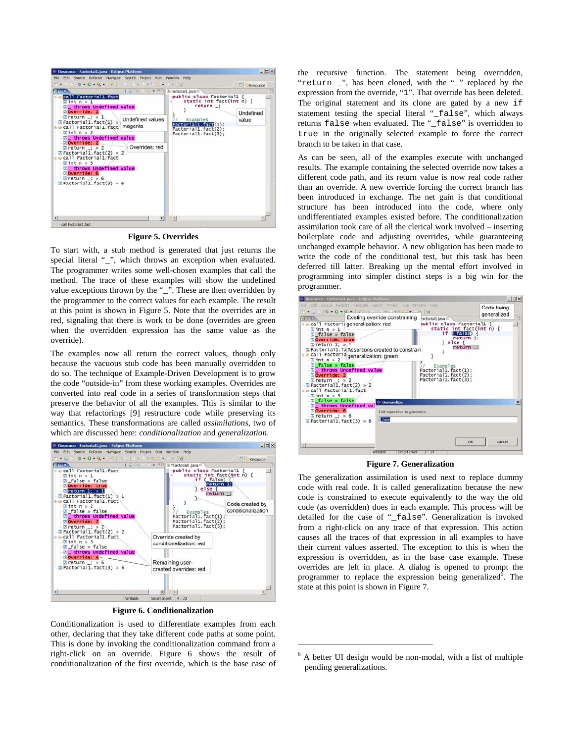<span id="page-4-0"></span>

**Figure 5. Overrides** 

To start with, a stub method is generated that just returns the special literal "\_", which throws an exception when evaluated. The programmer writes some well-chosen examples that call the method. The trace of these examples will show the undefined value exceptions thrown by the "\_". These are then overridden by the programmer to the correct values for each example. The result at this point is shown in [Figure 5.](#page-4-0) Note that the overrides are in red, signaling that there is work to be done (overrides are green when the overridden expression has the same value as the override).

The examples now all return the correct values, though only because the vacuous stub code has been manually overridden to do so. The technique of Example-Driven Development is to grow the code "outside-in" from these working examples. Overrides are converted into real code in a series of transformation steps that preserve the behavior of all the examples. This is similar to the way that refactorings [\[9\]](#page-6-12) restructure code while preserving its semantics. These transformations are called *assimilations*, two of which are discussed here: *conditionalization* and *generalization*.

<span id="page-4-1"></span>

**Figure 6. Conditionalization** 

Conditionalization is used to differentiate examples from each other, declaring that they take different code paths at some point. This is done by invoking the conditionalization command from a right-click on an override. [Figure 6](#page-4-1) shows the result of conditionalization of the first override, which is the base case of the recursive function. The statement being overridden, "return \_", has been cloned, with the "\_" replaced by the expression from the override, "1". That override has been deleted. The original statement and its clone are gated by a new if statement testing the special literal "\_false", which always returns false when evaluated. The "\_false" is overridden to true in the originally selected example to force the correct branch to be taken in that case.

As can be seen, all of the examples execute with unchanged results. The example containing the selected override now takes a different code path, and its return value is now real code rather than an override. A new override forcing the correct branch has been introduced in exchange. The net gain is that conditional structure has been introduced into the code, where only undifferentiated examples existed before. The conditionalization assimilation took care of all the clerical work involved – inserting boilerplate code and adjusting overrides, while guaranteeing unchanged example behavior. A new obligation has been made to write the code of the conditional test, but this task has been deferred till latter. Breaking up the mental effort involved in programming into simpler distinct steps is a big win for the programmer.

<span id="page-4-2"></span>

**Figure 7. Generalization**

The generalization assimilation is used next to replace dummy code with real code. It is called generalization because the new code is constrained to execute equivalently to the way the old code (as overridden) does in each example. This process will be detailed for the case of "\_false". Generalization is invoked from a right-click on any trace of that expression. This action causes all the traces of that expression in all examples to have their current values asserted. The exception to this is when the expression is overridden, as in the base case example. These overrides are left in place. A dialog is opened to prompt the programmer to replace the expression being generalized<sup>6</sup>[.](#page-4-3) The state at this point is shown in [Figure 7.](#page-4-2) 

1

<span id="page-4-3"></span> $6$  A better UI design would be non-modal, with a list of multiple pending generalizations.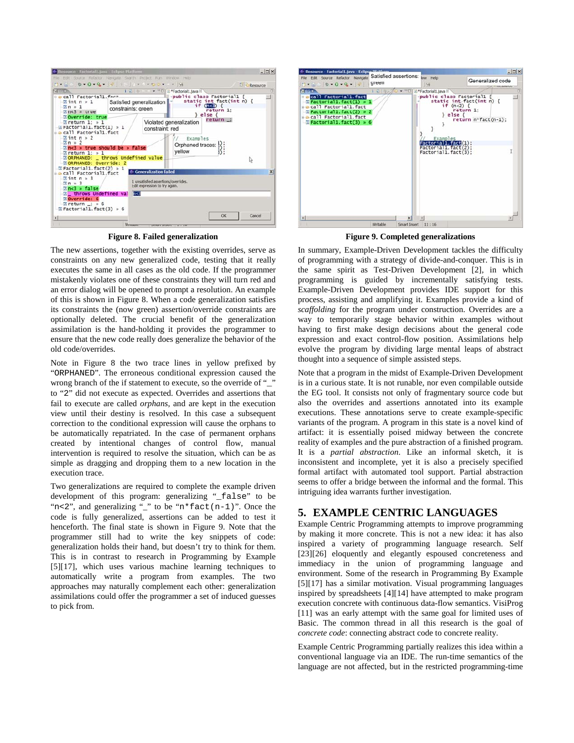<span id="page-5-0"></span>

| <b>MENT</b>                                                                                                                                                                                                                                                  | $-10 - 0 - 0 - 4$ $- 7 - 10 - 10 - 10$                                                               |                                                                                                 |          | Resource |          |
|--------------------------------------------------------------------------------------------------------------------------------------------------------------------------------------------------------------------------------------------------------------|------------------------------------------------------------------------------------------------------|-------------------------------------------------------------------------------------------------|----------|----------|----------|
| e eall Factorial1. fact<br>$\pi$ int n » 1<br>$\pi$ n » 1<br>$n<3$ $\ge$ true<br>Noverride: true                                                                                                                                                             | 1 2 + □□ B *Factorial1.java H<br>Satisfied generalization<br>constraints: green                      | -public class Factorial1 {<br>static int fact(int n) {<br>if (n < 3)<br>return 1:<br>$le$ lse { |          |          |          |
| $\sqrt{2}$ return 1: $\sqrt{2}$ 1<br>$E$ Factorial1.fact(1) » 1<br>call Factorial1. fact<br>$\pi$ int n » 2<br>$\pi n \gg 2$<br>$\sqrt{m}$ return 1: $\sqrt{m}$ 1<br><b>MORPHANED:</b><br><b>MORPHANED: Override: 2</b><br>$\sqrt{2}$ Factorial1.fact(2) » 1 | constraint: red<br>$\sqrt{2}$ n<3 » true should be » false<br>_ throws Undefined value               | Violated generalization<br><b>Examples</b><br>Orphaned traces:<br>yellow                        | return : | r,       |          |
| call Factorial1.fact<br>$\pi$ int n » 3<br>$\pi n \times 3$<br>$mnc3$ » false<br><b>M</b> throws Undefined val <b>RS</b><br><b>EQverride: 6</b><br>$\overline{z}$ return $\overline{z}$ $\overline{z}$ 6<br>$\overline{z}$ Factorial1. fact(3) » 6           | <b>Generalization failed</b><br>1 unsatisfied assertions/overrides.<br>Edit expression to try again. |                                                                                                 |          |          | $\times$ |

**Figure 8. Failed generalization**

The new assertions, together with the existing overrides, serve as constraints on any new generalized code, testing that it really executes the same in all cases as the old code. If the programmer mistakenly violates one of these constraints they will turn red and an error dialog will be opened to prompt a resolution. An example of this is shown in [Figure 8.](#page-5-0) When a code generalization satisfies its constraints the (now green) assertion/override constraints are optionally deleted. The crucial benefit of the generalization assimilation is the hand-holding it provides the programmer to ensure that the new code really does generalize the behavior of the old code/overrides.

Note in [Figure 8](#page-5-0) the two trace lines in yellow prefixed by "ORPHANED". The erroneous conditional expression caused the wrong branch of the if statement to execute, so the override of "\_" to "2" did not execute as expected. Overrides and assertions that fail to execute are called *orphans*, and are kept in the execution view until their destiny is resolved. In this case a subsequent correction to the conditional expression will cause the orphans to be automatically repatriated. In the case of permanent orphans created by intentional changes of control flow, manual intervention is required to resolve the situation, which can be as simple as dragging and dropping them to a new location in the execution trace.

Two generalizations are required to complete the example driven development of this program: generalizing "\_false" to be " $n < 2$ ", and generalizing "\_" to be " $n *$  fact( $n-1$ )". Once the code is fully generalized, assertions can be added to test it henceforth. The final state is shown in [Figure 9.](#page-5-1) Note that the programmer still had to write the key snippets of code: generalization holds their hand, but doesn't try to think for them. This is in contrast to research in Programming by Example [\[5\]](#page-6-13)[\[17\],](#page-6-14) which uses various machine learning techniques to automatically write a program from examples. The two approaches may naturally complement each other: generalization assimilations could offer the programmer a set of induced guesses to pick from.

<span id="page-5-1"></span>

**Figure 9. Completed generalizations**

In summary, Example-Driven Development tackles the difficulty of programming with a strategy of divide-and-conquer. This is in the same spirit as Test-Driven Development [\[2\],](#page-6-1) in which programming is guided by incrementally satisfying tests. Example-Driven Development provides IDE support for this process, assisting and amplifying it. Examples provide a kind of *scaffolding* for the program under construction. Overrides are a way to temporarily stage behavior within examples without having to first make design decisions about the general code expression and exact control-flow position. Assimilations help evolve the program by dividing large mental leaps of abstract thought into a sequence of simple assisted steps.

Note that a program in the midst of Example-Driven Development is in a curious state. It is not runable, nor even compilable outside the EG tool. It consists not only of fragmentary source code but also the overrides and assertions annotated into its example executions. These annotations serve to create example-specific variants of the program. A program in this state is a novel kind of artifact: it is essentially poised midway between the concrete reality of examples and the pure abstraction of a finished program. It is a *partial abstraction*. Like an informal sketch, it is inconsistent and incomplete, yet it is also a precisely specified formal artifact with automated tool support. Partial abstraction seems to offer a bridge between the informal and the formal. This intriguing idea warrants further investigation.

# **5. EXAMPLE CENTRIC LANGUAGES**

Example Centric Programming attempts to improve programming by making it more concrete. This is not a new idea: it has also inspired a variety of programming language research. Self [\[23\]\[](#page-7-1)[26\]](#page-7-4) eloquently and elegantly espoused concreteness and immediacy in the union of programming language and environment. Some of the research in Programming By Example [\[5\]](#page-6-13)[\[17\]](#page-6-14) has a similar motivation. Visual programming languages inspired by spreadsheets [\[4\]](#page-6-15)[\[14\]](#page-6-16) have attempted to make program execution concrete with continuous data-flow semantics. VisiProg [\[11\]](#page-6-17) was an early attempt with the same goal for limited uses of Basic. The common thread in all this research is the goal of *concrete code*: connecting abstract code to concrete reality.

Example Centric Programming partially realizes this idea within a conventional language via an IDE. The run-time semantics of the language are not affected, but in the restricted programming-time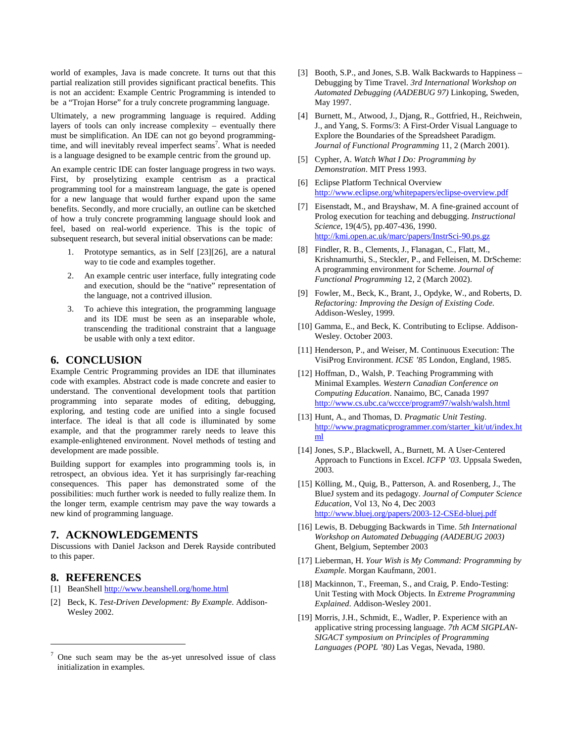world of examples, Java is made concrete. It turns out that this partial realization still provides significant practical benefits. This is not an accident: Example Centric Programming is intended to be a "Trojan Horse" for a truly concrete programming language.

Ultimately, a new programming language is required. Adding layers of tools can only increase complexity – eventually there must be simplification. An IDE can not go beyond programming-time, and will inevitably reveal imperfect seams<sup>7</sup>[.](#page-6-18) What is needed is a language designed to be example centric from the ground up.

An example centric IDE can foster language progress in two ways. First, by proselytizing example centrism as a practical programming tool for a mainstream language, the gate is opened for a new language that would further expand upon the same benefits. Secondly, and more crucially, an outline can be sketched of how a truly concrete programming language should look and feel, based on real-world experience. This is the topic of subsequent research, but several initial observations can be made:

- 1. Prototype semantics, as in Self [\[23\]](#page-7-1)[\[26\],](#page-7-4) are a natural way to tie code and examples together.
- 2. An example centric user interface, fully integrating code and execution, should be the "native" representation of the language, not a contrived illusion.
- 3. To achieve this integration, the programming language and its IDE must be seen as an inseparable whole, transcending the traditional constraint that a language be usable with only a text editor.

#### **6. CONCLUSION**

Example Centric Programming provides an IDE that illuminates code with examples. Abstract code is made concrete and easier to understand. The conventional development tools that partition programming into separate modes of editing, debugging, exploring, and testing code are unified into a single focused interface. The ideal is that all code is illuminated by some example, and that the programmer rarely needs to leave this example-enlightened environment. Novel methods of testing and development are made possible.

Building support for examples into programming tools is, in retrospect, an obvious idea. Yet it has surprisingly far-reaching consequences. This paper has demonstrated some of the possibilities: much further work is needed to fully realize them. In the longer term, example centrism may pave the way towards a new kind of programming language.

#### **7. ACKNOWLEDGEMENTS**

Discussions with Daniel Jackson and Derek Rayside contributed to this paper.

#### **8. REFERENCES**

 $\overline{a}$ 

- <span id="page-6-3"></span>[1] BeanShell<http://www.beanshell.org/home.html>
- <span id="page-6-1"></span>[2] Beck, K. *Test-Driven Development: By Example*. Addison-Wesley 2002.
- <span id="page-6-8"></span>[3] Booth, S.P., and Jones, S.B. Walk Backwards to Happiness – Debugging by Time Travel. *3rd International Workshop on Automated Debugging (AADEBUG 97)* Linkoping, Sweden, May 1997.
- <span id="page-6-15"></span>[4] Burnett, M., Atwood, J., Djang, R., Gottfried, H., Reichwein, J., and Yang, S. Forms/3: A First-Order Visual Language to Explore the Boundaries of the Spreadsheet Paradigm. *Journal of Functional Programming* 11, 2 (March 2001).
- <span id="page-6-13"></span>[5] Cypher, A. *Watch What I Do: Programming by Demonstration*. MIT Press 1993.
- <span id="page-6-0"></span>[6] Eclipse Platform Technical Overview <http://www.eclipse.org/whitepapers/eclipse-overview.pdf>
- <span id="page-6-5"></span>[7] Eisenstadt, M., and Brayshaw, M. A fine-grained account of Prolog execution for teaching and debugging. *Instructional Science*, 19(4/5), pp.407-436, 1990. <http://kmi.open.ac.uk/marc/papers/InstrSci-90.ps.gz>
- <span id="page-6-6"></span>[8] Findler, R. B., Clements, J., Flanagan, C., Flatt, M., Krishnamurthi, S., Steckler, P., and Felleisen, M. DrScheme: A programming environment for Scheme. *Journal of Functional Programming* 12, 2 (March 2002).
- <span id="page-6-12"></span>[9] Fowler, M., Beck, K., Brant, J., Opdyke, W., and Roberts, D. *Refactoring: Improving the Design of Existing Code*. Addison-Wesley, 1999.
- <span id="page-6-9"></span>[10] Gamma, E., and Beck, K. Contributing to Eclipse. Addison-Wesley. October 2003.
- <span id="page-6-17"></span>[11] Henderson, P., and Weiser, M. Continuous Execution: The VisiProg Environment. *ICSE '85* London, England, 1985.
- <span id="page-6-4"></span>[12] Hoffman, D., Walsh, P. Teaching Programming with Minimal Examples. *Western Canadian Conference on Computing Education*. Nanaimo, BC, Canada 1997 <http://www.cs.ubc.ca/wccce/program97/walsh/walsh.html>
- <span id="page-6-2"></span>[13] Hunt, A., and Thomas, D. *Pragmatic Unit Testing*. [http://www.pragmaticprogrammer.com/starter\\_kit/ut/index.ht](http://www.pragmaticprogrammer.com/starter_kit/ut/index.html) [ml](http://www.pragmaticprogrammer.com/starter_kit/ut/index.html)
- <span id="page-6-16"></span>[14] Jones, S.P., Blackwell, A., Burnett, M. A User-Centered Approach to Functions in Excel. *ICFP '03.* Uppsala Sweden, 2003.
- <span id="page-6-7"></span>[15] Kölling, M., Quig, B., Patterson, A. and Rosenberg, J., The BlueJ system and its pedagogy. *Journal of Computer Science Education*, Vol 13, No 4, Dec 2003 <http://www.bluej.org/papers/2003-12-CSEd-bluej.pdf>
- [16] Lewis, B. Debugging Backwards in Time. *5th International Workshop on Automated Debugging (AADEBUG 2003)*  Ghent, Belgium, September 2003
- <span id="page-6-14"></span>[17] Lieberman, H. *Your Wish is My Command: Programming by Example*. Morgan Kaufmann, 2001.
- <span id="page-6-10"></span>[18] Mackinnon, T., Freeman, S., and Craig, P. Endo-Testing: Unit Testing with Mock Objects. In *Extreme Programming Explained*. Addison-Wesley 2001.
- <span id="page-6-11"></span>[19] Morris, J.H., Schmidt, E., Wadler, P. Experience with an applicative string processing language. *7th ACM SIGPLAN-SIGACT symposium on Principles of Programming Languages (POPL '80)* Las Vegas, Nevada, 1980.

<span id="page-6-18"></span><sup>7</sup> One such seam may be the as-yet unresolved issue of class initialization in examples.